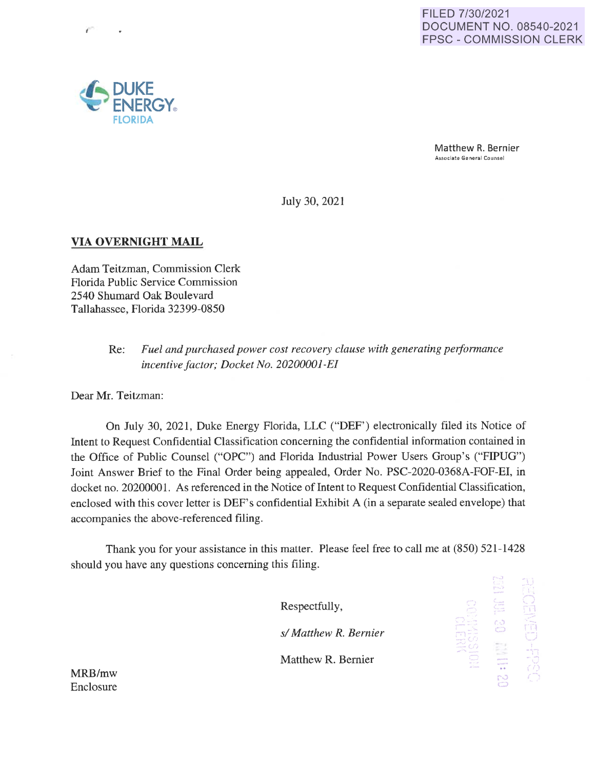Matthew R. Bernier **Associate General Counsel** 

July 30, 2021

## **VIA OVERNIGHT MAIL**

Adam Teitzman, Commission Clerk Florida Public Service Commission 2540 Shumard Oak Boulevard Tallahassee, Florida 32399-0850

> Re: *Fuel and purchased power cost recovery clause with generating performance incentive factor; Docket No. 20200001-EI*

Dear Mr. Teitzman:

On July 30, 2021, Duke Energy Florida, LLC ("DEF") electronically filed its Notice of Intent to Request Confidential Classification concerning the confidential information contained in the Office of Public Counsel ("OPC") and Florida Industrial Power Users Group's ("FIPUG") Joint Answer Brief to the Final Order being appealed, Order No. PSC-2020-0368A-FOF-EI, in docket no. 20200001. As referenced in the Notice of Intent to Request Confidential Classification, enclosed with this cover letter is DEF's confidential Exhibit A (in a separate sealed envelope) that accompanies the above-referenced filing.

Thank you for your assistance in this matter. Please feel free to call me at (850) 521-1428 should you have any questions concerning this filing.

Respectfully,

*s/ Matthew* **R.** *Bernier* 

Matthew R. Bernier

**MRB/mw**  Enclosure



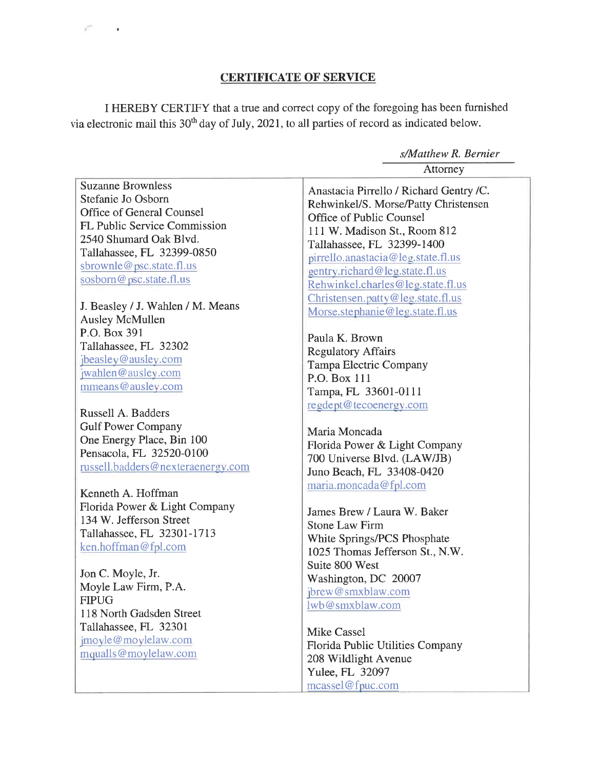## **CERTIFICATE OF SERVICE**

*s/Matthew R. Bernier* 

r HEREBY CERTIFY that a true and correct copy of the foregoing has been furnished via electronic mail this 30<sup>th</sup> day of July, 2021, to all parties of record as indicated below.

Attorney Suzanne Brownless<br>
Stefanie Jo Osborn<br>
De Latitude Management Patter Christmas and Christmas and Christmas and Christmas and Christmas and Christmas and Christmas and Christmas and Christmas and Christmas and Christmas and Stefanie Jo Osborn<br>Office of General Counsel Rehwinkel/S. Morse/Patty Christensen Office of General Counsel<br>
FL Public Service Commission<br>
Let U. M. Medisco St. Pass FL Public Service Commission<br>2540 Shumard Oak Blvd. The Telecometer 20000 1400 2540 Shumard Oak Blvd. Tallahassee, FL 32399-1400 pirrello.anastacia@leg.state.fl.us sbrownle@psc.state.fl.us gentry.richard@leg.state.fl.us sosborn@psc.state.fl.us Rehwinkel.charles@leg.state.fl.us Christensen.patty@leg.state.fl.us J. Beasley / J. Wahlen / M. Means Morse.stephanie@leg.state.fl.us Ausley McMullen P.O. Box 391<br>
Tallahassee, FL 32302<br>
Paula K. Brown Tallahassee, FL 32302<br>
Regulatory Affairs<br>
The Regulatory Affairs<br>
The Regulatory Affairs jbeasley@ausley.com<br>
jwahlen@ausley.com **P.O. Box 111**<br>
P.O. Box 111<br>
P.o. Box 111<br>
P.o. **P.O. Box 111** Tampa, FL 33601-0111 Russell A. Badders regdent@tecoenergv .com Gulf Power Company<br>One Energy Place, Bin 100 Maria Moncada One Energy Place, Bin 100<br>
Pensacola, FL 32520-0100 700 Universe Blvd. (LAW/JB)<br>
russell.badders@nexteraenergy.com Juno Beach, FL 33408-0420 Kenneth A. Hoffman maria.moncada@fpl.com Florida Power & Light Company James Brew / Laura W. Baker 134 W. Jefferson Street<br>
Tallahassee, FL 32301-1713<br>
Stone Law Firm<br>
Stone Law Firm Tallahassee, FL 32301-1713<br>
ken.hoffman@fpl.com 1025 Thomas Jefferson St., N.W. Suite 800 West Jon C. Moyle, Jr.<br>Moyle Law Firm, P.A. Washington, DC 20007 Moyle Law Firm, P.A.  $\frac{1}{2} \frac{\text{brew@smxblaw.com}}{\text{bnew@smxblaw.com}}$ lwb@smxblaw.com 118 North Gadsden Street Tallahassee, FL 32301<br>
jmoyle@moylelaw.com Mike Cassel moyle@movielaw.com Florida Public Utilities Company<br>mqualls@movielaw.com Plorida Public Utilities Company 208 Wildlight Avenue Yulee, FL 32097 mcassel@fnuc.com